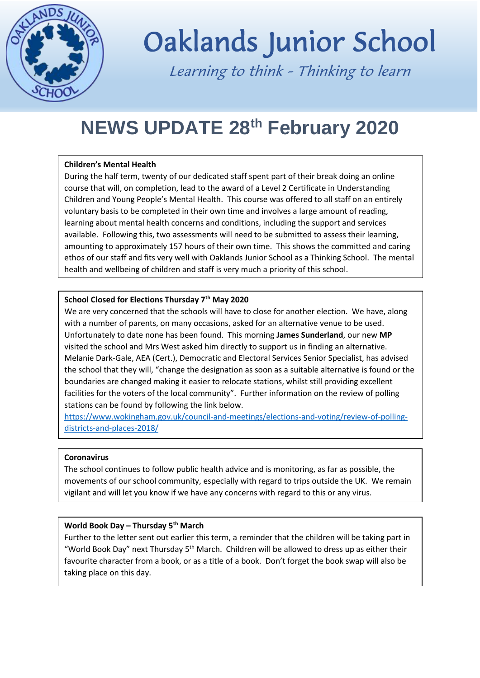

# Oaklands Junior School

Learning to think - Thinking to learn

## **NEWS UPDATE 28th February 2020**

#### **Children's Mental Health**

During the half term, twenty of our dedicated staff spent part of their break doing an online course that will, on completion, lead to the award of a Level 2 Certificate in Understanding Children and Young People's Mental Health. This course was offered to all staff on an entirely voluntary basis to be completed in their own time and involves a large amount of reading, learning about mental health concerns and conditions, including the support and services available. Following this, two assessments will need to be submitted to assess their learning, amounting to approximately 157 hours of their own time. This shows the committed and caring ethos of our staff and fits very well with Oaklands Junior School as a Thinking School. The mental health and wellbeing of children and staff is very much a priority of this school.

#### **School Closed for Elections Thursday 7th May 2020**

We are very concerned that the schools will have to close for another election. We have, along with a number of parents, on many occasions, asked for an alternative venue to be used. Unfortunately to date none has been found. This morning **James Sunderland**, our new **MP** visited the school and Mrs West asked him directly to support us in finding an alternative. Melanie Dark-Gale, AEA (Cert.), Democratic and Electoral Services Senior Specialist, has advised the school that they will, "change the designation as soon as a suitable alternative is found or the boundaries are changed making it easier to relocate stations, whilst still providing excellent facilities for the voters of the local community". Further information on the review of polling stations can be found by following the link below.

[https://www.wokingham.gov.uk/council-and-meetings/elections-and-voting/review-of-polling](https://www.wokingham.gov.uk/council-and-meetings/elections-and-voting/review-of-polling-districts-and-places-2018/)[districts-and-places-2018/](https://www.wokingham.gov.uk/council-and-meetings/elections-and-voting/review-of-polling-districts-and-places-2018/)

#### **Coronavirus**

The school continues to follow public health advice and is monitoring, as far as possible, the movements of our school community, especially with regard to trips outside the UK. We remain vigilant and will let you know if we have any concerns with regard to this or any virus.

#### **World Book Day – Thursday 5th March**

Further to the letter sent out earlier this term, a reminder that the children will be taking part in "World Book Day" next Thursday  $5<sup>th</sup>$  March. Children will be allowed to dress up as either their favourite character from a book, or as a title of a book. Don't forget the book swap will also be taking place on this day.